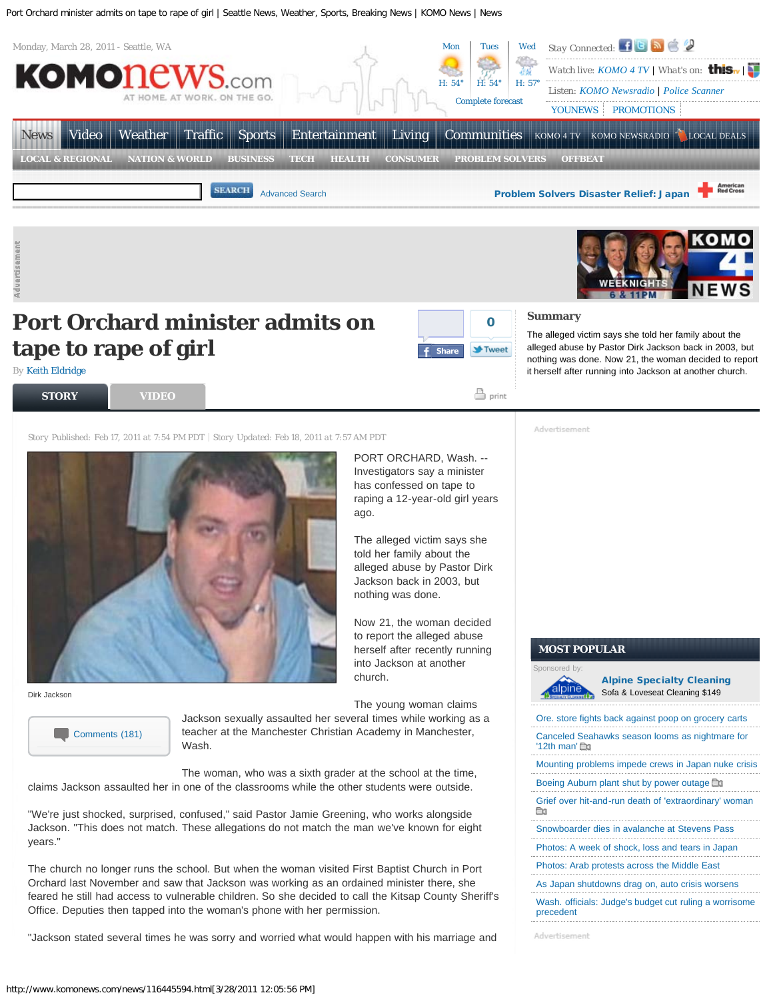

The alleged victim says she told her family about the alleged abuse by Pastor Dirk Jackson back in 2003, but nothing was done. Now 21, the woman decided to report it herself after running into Jackson at another church.

## **tape to rape of girl** *By* [Keith Eldridge](mailto:KeithE@komonews.com)



PORT ORCHARD, Wash. -- Investigators say a minister has confessed on tape to raping a 12-year-old girl years

The alleged victim says she told her family about the alleged abuse by Pastor Dirk Jackson back in 2003, but nothing was done.

Now 21, the woman decided to report the alleged abuse herself after recently running into Jackson at another

 $\stackrel{\boxdot}{=}$  print **[STORY](http://www.komonews.com/news/116445594.html?) [VIDEO](http://www.komonews.com/news/116445594.html?tab=video)**

*Story Published: Feb 17, 2011 at 7:54 PM PDT Story Updated: Feb 18, 2011 at 7:57 AM PDT*



Dirk Jackson



The young woman claims Jackson sexually assaulted her several times while working as a

church.

ago.

teacher at the Manchester Christian Academy in Manchester, Wash.

The woman, who was a sixth grader at the school at the time, claims Jackson assaulted her in one of the classrooms while the other students were outside.

"We're just shocked, surprised, confused," said Pastor Jamie Greening, who works alongside Jackson. "This does not match. These allegations do not match the man we've known for eight years."

The church no longer runs the school. But when the woman visited First Baptist Church in Port Orchard last November and saw that Jackson was working as an ordained minister there, she feared he still had access to vulnerable children. So she decided to call the Kitsap County Sheriff's Office. Deputies then tapped into the woman's phone with her permission.

"Jackson stated several times he was sorry and worried what would happen with his marriage and

Advertisement

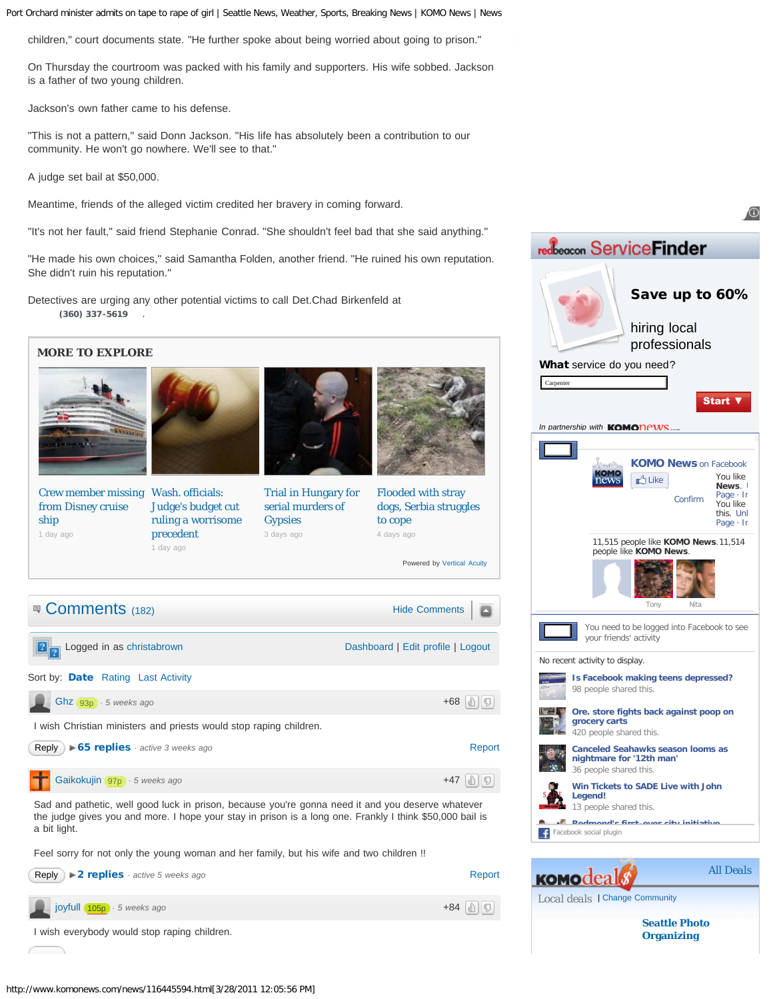children," court documents state. "He further spoke about being worried about going to prison."

On Thursday the courtroom was packed with his family and supporters. His wife sobbed. Jackson is a father of two young children.

Jackson's own father came to his defense.

"This is not a pattern," said Donn Jackson. "His life has absolutely been a contribution to our community. He won't go nowhere. We'll see to that."

A judge set bail at \$50,000.

Meantime, friends of the alleged victim credited her bravery in coming forward.

"It's not her fault," said friend Stephanie Conrad. "She shouldn't feel bad that she said anything."

"He made his own choices," said Samantha Folden, another friend. "He ruined his own reputation. She didn't ruin his reputation."

Detectives are urging any other potential victims to call Det.Chad Birkenfeld at  **(360) 337-5619** .



<span id="page-1-1"></span><span id="page-1-0"></span>Sad and pathetic, well good luck in prison, because you're gonna need it and you deserve whatever the judge gives you and more. I hope your stay in prison is a long one. Frankly I think \$50,000 bail is a bit light.

Feel sorry for not only the young woman and her family, but his wife and two children !!



| redbeacon ServiceFinder                |               |                                                                                                |                              |                                      |
|----------------------------------------|---------------|------------------------------------------------------------------------------------------------|------------------------------|--------------------------------------|
|                                        |               |                                                                                                | Save up to 60%               |                                      |
|                                        |               | hiring local                                                                                   |                              |                                      |
|                                        |               |                                                                                                | professionals                |                                      |
| What service do you need?<br>Carpenter |               |                                                                                                |                              |                                      |
|                                        |               |                                                                                                |                              | <b>Start \</b>                       |
| In partnership with KOMONPWS.          |               |                                                                                                |                              |                                      |
|                                        |               |                                                                                                |                              |                                      |
|                                        |               | <b>A</b> Like                                                                                  | <b>KOMO News on Facebook</b> | You like                             |
|                                        |               |                                                                                                | Confirm                      | News.<br>Page $\cdot$ Ir<br>You like |
|                                        |               |                                                                                                |                              | this. Unl<br>Page $\cdot$ Ir         |
|                                        |               | 11,515 people like KOMO News.11,514<br>people like KOMO News.                                  |                              |                                      |
|                                        |               |                                                                                                |                              |                                      |
|                                        |               |                                                                                                |                              |                                      |
|                                        |               | Tony                                                                                           | Nita                         |                                      |
|                                        |               | You need to be logged into Facebook to see<br>your friends' activity                           |                              |                                      |
| No recent activity to display.         |               |                                                                                                |                              |                                      |
|                                        |               | Is Facebook making teens depressed?<br>98 people shared this.                                  |                              |                                      |
|                                        |               | Ore. store fights back against poop on                                                         |                              |                                      |
|                                        | grocery carts | 420 people shared this.                                                                        |                              |                                      |
|                                        |               | <b>Canceled Seahawks season looms as</b><br>nightmare for '12th man'<br>36 people shared this. |                              |                                      |
| Legend!                                |               | Win Tickets to SADE Live with John                                                             |                              |                                      |
| a <sup>1</sup> Dadmandla fixat         |               | 13 people shared this.                                                                         | ing albi lalblathi           |                                      |
| Facebook social plugin                 |               |                                                                                                |                              |                                      |
|                                        |               |                                                                                                |                              |                                      |
| <b>KOMOdea</b>                         |               |                                                                                                |                              | <b>All Deals</b>                     |
| Local deals   Change Community         |               |                                                                                                |                              |                                      |
|                                        |               |                                                                                                |                              |                                      |

⋒

**[Organizing](http://biz.komonews.com/Seattle_Photo_Organizing/149163542.html)**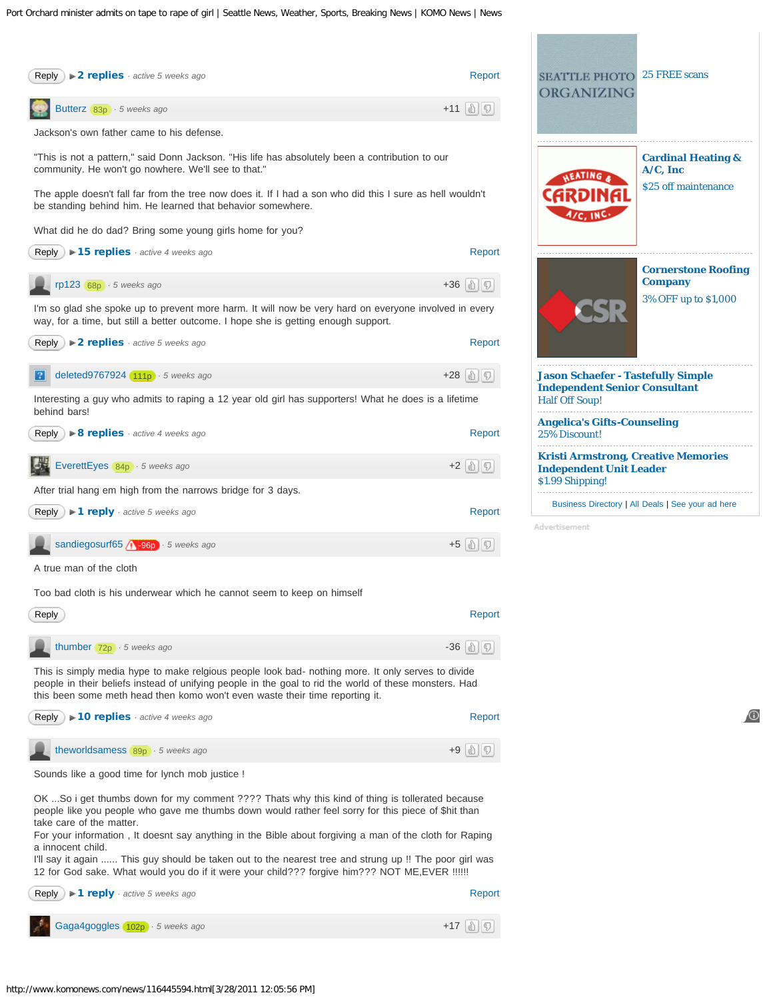<span id="page-2-1"></span><span id="page-2-0"></span>

<span id="page-2-4"></span><span id="page-2-3"></span><span id="page-2-2"></span>

| $\triangleright$ 8 replies active 4 weeks ago<br>Reply )            | Report     |
|---------------------------------------------------------------------|------------|
| EverettEyes 84p · 5 weeks ago                                       | $+2$ (a) 0 |
| After trial hang em high from the narrows bridge for 3 days.        |            |
| Reply )<br>$\blacktriangleright$ 1 reply $\cdot$ active 5 weeks ago | Report     |
|                                                                     |            |
| sandiegosurf65 4 -96p · 5 weeks ago                                 | $+5$ (a) 0 |

<span id="page-2-5"></span>Too bad cloth is his underwear which he cannot seem to keep on himself

<span id="page-2-6"></span>

| Reply                       | Report              |
|-----------------------------|---------------------|
| thumber $72p + 5$ weeks ago | $-36$ alle          |
| .                           | .<br>.<br>.<br>____ |

This is simply media hype to make relgious people look bad- nothing more. It only serves to divide people in their beliefs instead of unifying people in the goal to rid the world of these monsters. Had this been some meth head then komo won't even waste their time reporting it.

<span id="page-2-7"></span>

| <b>Reply</b> $\triangleright$ <b>10 replies</b> active 4 weeks ago | Report         |
|--------------------------------------------------------------------|----------------|
| theworldsamess $89p + 5$ weeks ago                                 | $+9$ (a) $ 5 $ |

Sounds like a good time for lynch mob justice !

 $\overline{\phantom{a}}$ 

OK ...So i get thumbs down for my comment ???? Thats why this kind of thing is tollerated because people like you people who gave me thumbs down would rather feel sorry for this piece of \$hit than take care of the matter.

For your information , It doesnt say anything in the Bible about forgiving a man of the cloth for Raping a innocent child.

I'll say it again ...... This guy should be taken out to the nearest tree and strung up !! The poor girl was 12 for God sake. What would you do if it were your child??? forgive him??? NOT ME,EVER !!!!!!





Advertisement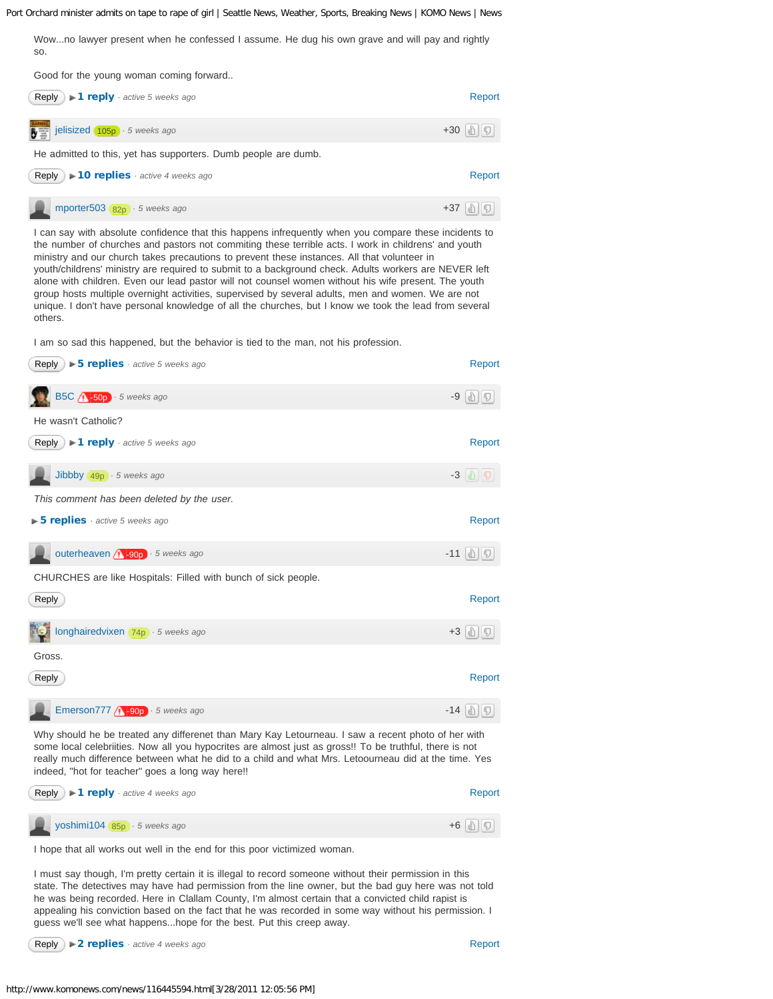<span id="page-3-0"></span>Wow...no lawyer present when he confessed I assume. He dug his own grave and will pay and rightly

<span id="page-3-1"></span>[Report](javascript: showReportBox(128737193)) [jelisized](http://intensedebate.com/people/jelisized) +30 *· [5 weeks ago](#page-3-1)* 105p [Report](javascript: showReportBox(128737231)) *· <b>137 porter503 82p · [5 weeks ago](#page-3-2)* [Reply](javascript: showReply(128737193);) **F1 reply** active 5 weeks ago **[Reply](javascript: showReply(128737231);)** ) **► 10 replies** *· active 4 weeks ago* so. Good for the young woman coming forward.. He admitted to this, yet has supporters. Dumb people are dumb.

<span id="page-3-2"></span>I can say with absolute confidence that this happens infrequently when you compare these incidents to the number of churches and pastors not commiting these terrible acts. I work in childrens' and youth ministry and our church takes precautions to prevent these instances. All that volunteer in youth/childrens' ministry are required to submit to a background check. Adults workers are NEVER left alone with children. Even our lead pastor will not counsel women without his wife present. The youth group hosts multiple overnight activities, supervised by several adults, men and women. We are not unique. I don't have personal knowledge of all the churches, but I know we took the lead from several others.

I am so sad this happened, but the behavior is tied to the man, not his profession.

<span id="page-3-5"></span><span id="page-3-4"></span><span id="page-3-3"></span>

| <b>Reply</b> $\triangleright$ <b>5 replies</b> active 5 weeks ago                                                                                                                                                    | Report                           |
|----------------------------------------------------------------------------------------------------------------------------------------------------------------------------------------------------------------------|----------------------------------|
| B5C $\sqrt{1 - 50p}$ · 5 weeks ago                                                                                                                                                                                   | $-9$ (a) $ 5 $                   |
| He wasn't Catholic?                                                                                                                                                                                                  |                                  |
| <b>Reply</b> $\blacktriangleright$ <b>1 reply</b> active 5 weeks ago                                                                                                                                                 | Report                           |
| Jibbby $49p \cdot 5$ weeks ago                                                                                                                                                                                       | $-3$ ( $\parallel$ ) $\parallel$ |
| This comment has been deleted by the user.                                                                                                                                                                           |                                  |
| $\triangleright$ 5 replies $\cdot$ active 5 weeks ago                                                                                                                                                                | Report                           |
| outerheaven $\bigwedge$ -90p $\bigtriangledown$ 5 weeks ago                                                                                                                                                          | $-11$ alle                       |
| CHURCHES are like Hospitals: Filled with bunch of sick people.                                                                                                                                                       |                                  |
| Reply                                                                                                                                                                                                                | Report                           |
| <b>The A longhairedvixen</b> 74p · 5 weeks ago                                                                                                                                                                       | $+3$ (a) $\boxed{5}$             |
| Gross.                                                                                                                                                                                                               |                                  |
| Reply                                                                                                                                                                                                                | Report                           |
| Emerson777 (1-90p) · 5 weeks ago                                                                                                                                                                                     | $-14$ alle                       |
| Why should he be treated any differenet than Mary Kay Letourneau. I saw a recent photo of her with<br>to be a contract the contract of the contract the contract that contract the leads of the leads of the local a |                                  |

<span id="page-3-7"></span><span id="page-3-6"></span>some local celebriities. Now all you hypocrites are almost just as gross!! To be truthful, there is not really much difference between what he did to a child and what Mrs. Letoourneau did at the time. Yes indeed, "hot for teacher" goes a long way here!!

<span id="page-3-8"></span>

| Reply $\blacktriangleright$ 1 reply $\cdot$ active 4 weeks ago | Repor               |
|----------------------------------------------------------------|---------------------|
| yoshimi104 85p · 5 weeks ago                                   | $+6$ (a) $\sqrt{5}$ |
|                                                                |                     |

I hope that all works out well in the end for this poor victimized woman.

I must say though, I'm pretty certain it is illegal to record someone without their permission in this state. The detectives may have had permission from the line owner, but the bad guy here was not told he was being recorded. Here in Clallam County, I'm almost certain that a convicted child rapist is appealing his conviction based on the fact that he was recorded in some way without his permission. I guess we'll see what happens...hope for the best. Put this creep away.

**[Reply](javascript: showReply(128787849);)** ) **► 2 replies** · active 4 weeks ago

[Report](javascript: showReportBox(128758387))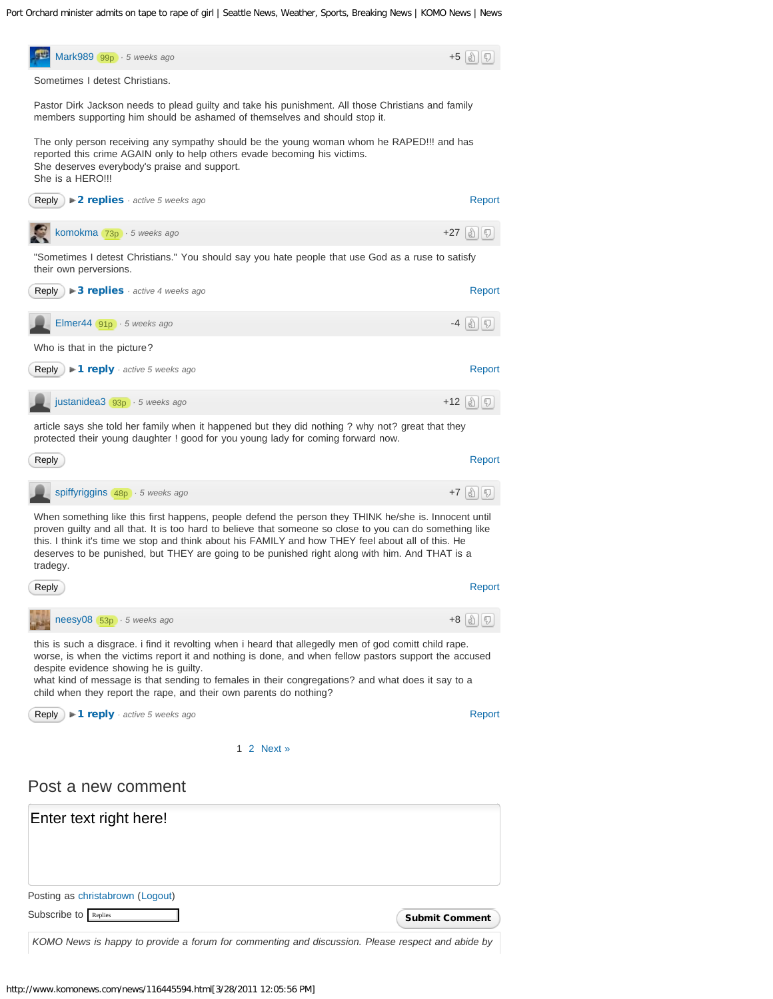<span id="page-4-3"></span><span id="page-4-2"></span><span id="page-4-1"></span><span id="page-4-0"></span>

<span id="page-4-5"></span><span id="page-4-4"></span>*KOMO News is happy to provide a forum for commenting and discussion. Please respect and abide by*